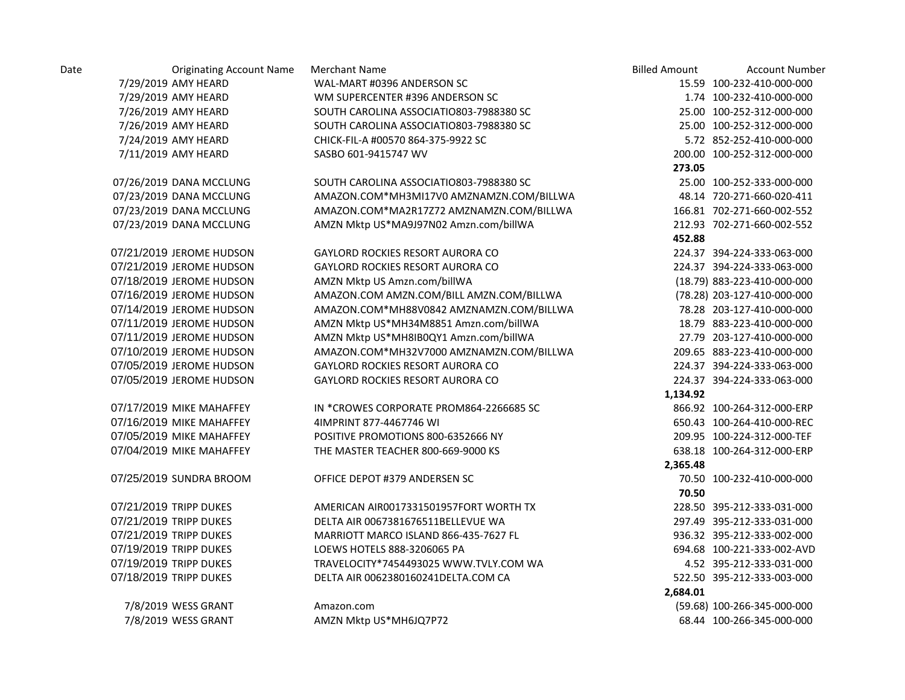| Date | <b>Originating Account Name</b> | <b>Merchant Name</b>                     | <b>Billed Amount</b> | <b>Account Number</b>       |
|------|---------------------------------|------------------------------------------|----------------------|-----------------------------|
|      | 7/29/2019 AMY HEARD             | WAL-MART #0396 ANDERSON SC               |                      | 15.59 100-232-410-000-000   |
|      | 7/29/2019 AMY HEARD             | WM SUPERCENTER #396 ANDERSON SC          |                      | 1.74 100-232-410-000-000    |
|      | 7/26/2019 AMY HEARD             | SOUTH CAROLINA ASSOCIATIO803-7988380 SC  |                      | 25.00 100-252-312-000-000   |
|      | 7/26/2019 AMY HEARD             | SOUTH CAROLINA ASSOCIATIO803-7988380 SC  |                      | 25.00 100-252-312-000-000   |
|      | 7/24/2019 AMY HEARD             | CHICK-FIL-A #00570 864-375-9922 SC       |                      | 5.72 852-252-410-000-000    |
|      | 7/11/2019 AMY HEARD             | SASBO 601-9415747 WV                     |                      | 200.00 100-252-312-000-000  |
|      |                                 |                                          | 273.05               |                             |
|      | 07/26/2019 DANA MCCLUNG         | SOUTH CAROLINA ASSOCIATIO803-7988380 SC  |                      | 25.00 100-252-333-000-000   |
|      | 07/23/2019 DANA MCCLUNG         | AMAZON.COM*MH3MI17V0 AMZNAMZN.COM/BILLWA |                      | 48.14 720-271-660-020-411   |
|      | 07/23/2019 DANA MCCLUNG         | AMAZON.COM*MA2R17Z72 AMZNAMZN.COM/BILLWA |                      | 166.81 702-271-660-002-552  |
|      | 07/23/2019 DANA MCCLUNG         | AMZN Mktp US*MA9J97N02 Amzn.com/billWA   |                      | 212.93 702-271-660-002-552  |
|      |                                 |                                          | 452.88               |                             |
|      | 07/21/2019 JEROME HUDSON        | GAYLORD ROCKIES RESORT AURORA CO         |                      | 224.37 394-224-333-063-000  |
|      | 07/21/2019 JEROME HUDSON        | <b>GAYLORD ROCKIES RESORT AURORA CO</b>  |                      | 224.37 394-224-333-063-000  |
|      | 07/18/2019 JEROME HUDSON        | AMZN Mktp US Amzn.com/billWA             |                      | (18.79) 883-223-410-000-000 |
|      | 07/16/2019 JEROME HUDSON        | AMAZON.COM AMZN.COM/BILL AMZN.COM/BILLWA |                      | (78.28) 203-127-410-000-000 |
|      | 07/14/2019 JEROME HUDSON        | AMAZON.COM*MH88V0842 AMZNAMZN.COM/BILLWA |                      | 78.28 203-127-410-000-000   |
|      | 07/11/2019 JEROME HUDSON        | AMZN Mktp US*MH34M8851 Amzn.com/billWA   |                      | 18.79 883-223-410-000-000   |
|      | 07/11/2019 JEROME HUDSON        | AMZN Mktp US*MH8IB0QY1 Amzn.com/billWA   |                      | 27.79 203-127-410-000-000   |
|      | 07/10/2019 JEROME HUDSON        | AMAZON.COM*MH32V7000 AMZNAMZN.COM/BILLWA |                      | 209.65 883-223-410-000-000  |
|      | 07/05/2019 JEROME HUDSON        | GAYLORD ROCKIES RESORT AURORA CO         |                      | 224.37 394-224-333-063-000  |
|      | 07/05/2019 JEROME HUDSON        | GAYLORD ROCKIES RESORT AURORA CO         |                      | 224.37 394-224-333-063-000  |
|      |                                 |                                          | 1,134.92             |                             |
|      | 07/17/2019 MIKE MAHAFFEY        | IN *CROWES CORPORATE PROM864-2266685 SC  |                      | 866.92 100-264-312-000-ERP  |
|      | 07/16/2019 MIKE MAHAFFEY        | 4IMPRINT 877-4467746 WI                  |                      | 650.43 100-264-410-000-REC  |
|      | 07/05/2019 MIKE MAHAFFEY        | POSITIVE PROMOTIONS 800-6352666 NY       |                      | 209.95 100-224-312-000-TEF  |
|      | 07/04/2019 MIKE MAHAFFEY        | THE MASTER TEACHER 800-669-9000 KS       |                      | 638.18 100-264-312-000-ERP  |
|      |                                 |                                          | 2,365.48             |                             |
|      | 07/25/2019 SUNDRA BROOM         | OFFICE DEPOT #379 ANDERSEN SC            |                      | 70.50 100-232-410-000-000   |
|      |                                 |                                          | 70.50                |                             |
|      | 07/21/2019 TRIPP DUKES          | AMERICAN AIR0017331501957FORT WORTH TX   |                      | 228.50 395-212-333-031-000  |
|      | 07/21/2019 TRIPP DUKES          | DELTA AIR 0067381676511BELLEVUE WA       |                      | 297.49 395-212-333-031-000  |
|      | 07/21/2019 TRIPP DUKES          | MARRIOTT MARCO ISLAND 866-435-7627 FL    |                      | 936.32 395-212-333-002-000  |
|      | 07/19/2019 TRIPP DUKES          | LOEWS HOTELS 888-3206065 PA              |                      | 694.68 100-221-333-002-AVD  |
|      | 07/19/2019 TRIPP DUKES          | TRAVELOCITY*7454493025 WWW.TVLY.COM WA   |                      | 4.52 395-212-333-031-000    |
|      | 07/18/2019 TRIPP DUKES          | DELTA AIR 0062380160241DELTA.COM CA      |                      | 522.50 395-212-333-003-000  |
|      |                                 |                                          | 2.684.01             |                             |
|      | 7/8/2019 WESS GRANT             | Amazon.com                               |                      | (59.68) 100-266-345-000-000 |
|      | 7/8/2019 WESS GRANT             | AMZN Mktp US*MH6JQ7P72                   |                      | 68.44 100-266-345-000-000   |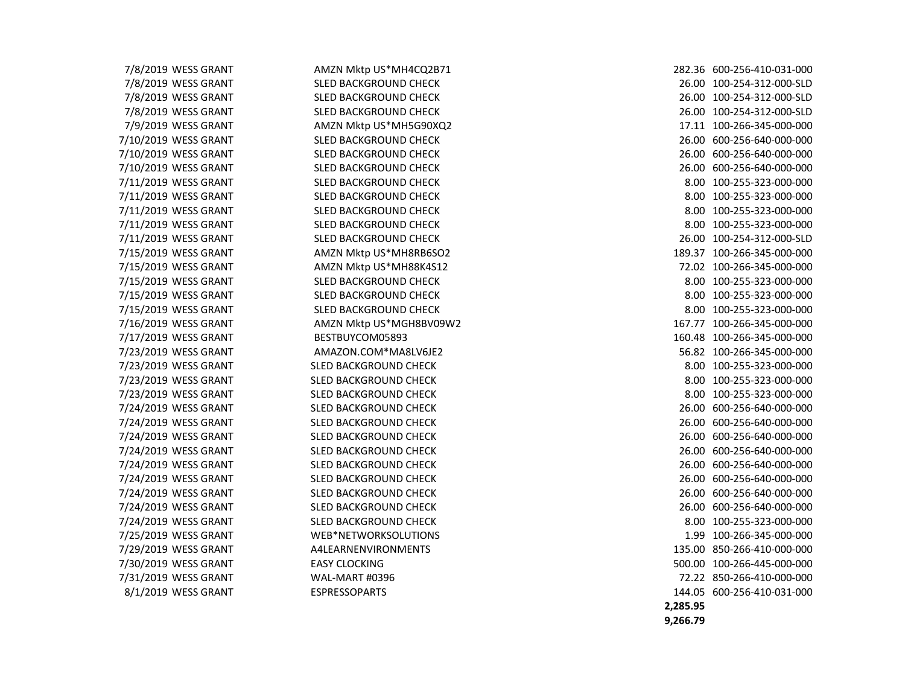| 7/8/2019 WESS GRANT  | AMZN Mktp US*MH4CQ2B71  | 282.36 600-256-410-031-000 |
|----------------------|-------------------------|----------------------------|
| 7/8/2019 WESS GRANT  | SLED BACKGROUND CHECK   | 26.00 100-254-312-000-SLD  |
| 7/8/2019 WESS GRANT  | SLED BACKGROUND CHECK   | 26.00 100-254-312-000-SLD  |
| 7/8/2019 WESS GRANT  | SLED BACKGROUND CHECK   | 26.00 100-254-312-000-SLD  |
| 7/9/2019 WESS GRANT  | AMZN Mktp US*MH5G90XQ2  | 17.11 100-266-345-000-000  |
| 7/10/2019 WESS GRANT | SLED BACKGROUND CHECK   | 26.00 600-256-640-000-000  |
| 7/10/2019 WESS GRANT | SLED BACKGROUND CHECK   | 26.00 600-256-640-000-000  |
| 7/10/2019 WESS GRANT | SLED BACKGROUND CHECK   | 26.00 600-256-640-000-000  |
| 7/11/2019 WESS GRANT | SLED BACKGROUND CHECK   | 8.00 100-255-323-000-000   |
| 7/11/2019 WESS GRANT | SLED BACKGROUND CHECK   | 8.00 100-255-323-000-000   |
| 7/11/2019 WESS GRANT | SLED BACKGROUND CHECK   | 8.00 100-255-323-000-000   |
| 7/11/2019 WESS GRANT | SLED BACKGROUND CHECK   | 8.00 100-255-323-000-000   |
| 7/11/2019 WESS GRANT | SLED BACKGROUND CHECK   | 26.00 100-254-312-000-SLD  |
| 7/15/2019 WESS GRANT | AMZN Mktp US*MH8RB6SO2  | 189.37 100-266-345-000-000 |
| 7/15/2019 WESS GRANT | AMZN Mktp US*MH88K4S12  | 72.02 100-266-345-000-000  |
| 7/15/2019 WESS GRANT | SLED BACKGROUND CHECK   | 8.00 100-255-323-000-000   |
| 7/15/2019 WESS GRANT | SLED BACKGROUND CHECK   | 8.00 100-255-323-000-000   |
| 7/15/2019 WESS GRANT | SLED BACKGROUND CHECK   | 8.00 100-255-323-000-000   |
| 7/16/2019 WESS GRANT | AMZN Mktp US*MGH8BV09W2 | 167.77 100-266-345-000-000 |
| 7/17/2019 WESS GRANT | BESTBUYCOM05893         | 160.48 100-266-345-000-000 |
| 7/23/2019 WESS GRANT | AMAZON.COM*MA8LV6JE2    | 56.82 100-266-345-000-000  |
| 7/23/2019 WESS GRANT | SLED BACKGROUND CHECK   | 8.00 100-255-323-000-000   |
| 7/23/2019 WESS GRANT | SLED BACKGROUND CHECK   | 8.00 100-255-323-000-000   |
| 7/23/2019 WESS GRANT | SLED BACKGROUND CHECK   | 8.00 100-255-323-000-000   |
| 7/24/2019 WESS GRANT | SLED BACKGROUND CHECK   | 26.00 600-256-640-000-000  |
| 7/24/2019 WESS GRANT | SLED BACKGROUND CHECK   | 26.00 600-256-640-000-000  |
| 7/24/2019 WESS GRANT | SLED BACKGROUND CHECK   | 26.00 600-256-640-000-000  |
| 7/24/2019 WESS GRANT | SLED BACKGROUND CHECK   | 26.00 600-256-640-000-000  |
| 7/24/2019 WESS GRANT | SLED BACKGROUND CHECK   | 26.00 600-256-640-000-000  |
| 7/24/2019 WESS GRANT | SLED BACKGROUND CHECK   | 26.00 600-256-640-000-000  |
| 7/24/2019 WESS GRANT | SLED BACKGROUND CHECK   | 26.00 600-256-640-000-000  |
| 7/24/2019 WESS GRANT | SLED BACKGROUND CHECK   | 26.00 600-256-640-000-000  |
| 7/24/2019 WESS GRANT | SLED BACKGROUND CHECK   | 8.00 100-255-323-000-000   |
| 7/25/2019 WESS GRANT | WEB*NETWORKSOLUTIONS    | 1.99 100-266-345-000-000   |
| 7/29/2019 WESS GRANT | A4LEARNENVIRONMENTS     | 135.00 850-266-410-000-000 |
| 7/30/2019 WESS GRANT | <b>EASY CLOCKING</b>    | 500.00 100-266-445-000-000 |
| 7/31/2019 WESS GRANT | WAL-MART #0396          | 72.22 850-266-410-000-000  |
| 8/1/2019 WESS GRANT  | <b>ESPRESSOPARTS</b>    | 144.05 600-256-410-031-000 |
|                      |                         |                            |

7/8/2019 WESS GRANT SLED BACKGROUND CHECK 26.00 100-254-312-000-SLD 7/8/2019 WESS GRANT SLED BACKGROUND CHECK 26.00 100-254-312-000-SLD 7/8/2019 WESS GRANT SLED BACKGROUND CHECK 26.00 100-254-312-000-SLD 7/9/2019 WESS GRANT AMZN Mktp US\*MH5G90XQ2 17.11 100-266-345-000-000 7/10/2019 WESS GRANT SLED BACKGROUND CHECK 26.00 600-256-640-000-000 7/10/2019 WESS GRANT SLED BACKGROUND CHECK 26.00 600-256-640-000-000 7/10/2019 WESS GRANT SLED BACKGROUND CHECK 26.00 600-256-640-000-000 7/11/2019 WESS GRANT SLED BACKGROUND CHECK 8.00 100-255-323-000-000 7/11/2019 WESS GRANT SLED BACKGROUND CHECK 8.00 100-255-323-000-000 7/11/2019 WESS GRANT SLED BACKGROUND CHECK 8.00 100-255-323-000-000 7/11/2019 WESS GRANT SLED BACKGROUND CHECK 8.00 100-255-323-000-000 7/11/2019 WESS GRANT SLED BACKGROUND CHECK 26.00 100-254-312-000-SLD 7/15/2019 WESS GRANT AMZN Mktp US\*MH8RB6SO2 189.37 100-266-345-000-000 7/15/2019 WESS GRANT AMZN Mktp US\*MH88K4S12 72.02 100-266-345-000-000 7/15/2019 WESS GRANT SLED BACKGROUND CHECK 8.00 100-255-323-000-000 7/15/2019 WESS GRANT SLED BACKGROUND CHECK 8.00 100-255-323-000-000 7/15/2019 WESS GRANT SLED BACKGROUND CHECK 8.00 100-255-323-000-000 7/16/2019 WESS GRANT AMZN Mktp US\*MGH8BV09W2 167.77 100-266-345-000-000 160.48 100-266-345-000-000 7/23/2019 WESS GRANT AMAZON.COM\*MA8LV6JE2 56.82 100-266-345-000-000 7/23/2019 WESS GRANT SLED BACKGROUND CHECK 8.00 100-255-323-000-000 7/23/2019 WESS GRANT SLED BACKGROUND CHECK 8.00 100-255-323-000-000 7/23/2019 WESS GRANT SLED BACKGROUND CHECK 8.00 100-255-323-000-000 7/24/2019 WESS GRANT SLED BACKGROUND CHECK 26.00 600-256-640-000-000 7/24/2019 WESS GRANT SLED BACKGROUND CHECK 26.00 600-256-640-000-000 7/24/2019 WESS GRANT SLED BACKGROUND CHECK 26.00 600-256-640-000-000 7/24/2019 WESS GRANT SLED BACKGROUND CHECK 26.00 600-256-640-000-000 7/24/2019 WESS GRANT SLED BACKGROUND CHECK 26.00 600-256-640-000-000 7/24/2019 WESS GRANT SLED BACKGROUND CHECK 26.00 600-256-640-000-000 7/24/2019 WESS GRANT SLED BACKGROUND CHECK 26.00 600-256-640-000-000 7/24/2019 WESS GRANT SLED BACKGROUND CHECK 26.00 600-256-640-000-000 7/24/2019 WESS GRANT SLED BACKGROUND CHECK 8.00 100-255-323-000-000 7/25/2019 WESS GRANT WEB\*NETWORKSOLUTIONS 1.99 100-266-345-000-000 7/29/2019 WESS GRANT A4LEARNENVIRONMENTS 135.00 850-266-410-000-000 500.00 100-266-445-000-000 72.22 850-266-410-000-000 144.05 600-256-410-031-000  **2,285.95 9,266.79**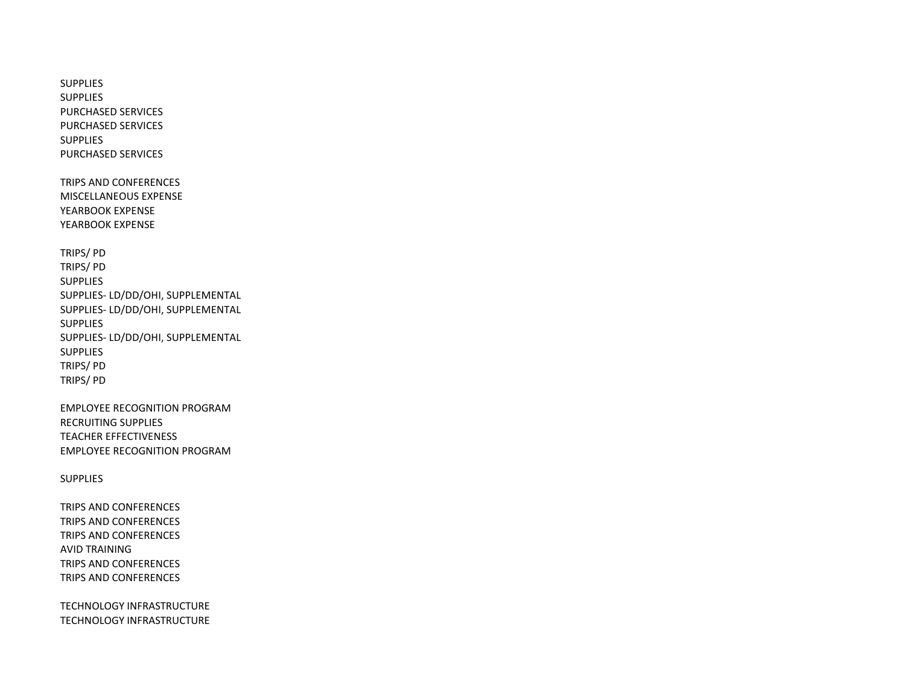**SUPPLIES** SUPPLIES PURCHASED SERVICES PURCHASED SERVICES SUPPLIES PURCHASED SERVICES

TRIPS AND CONFERENCES MISCELLANEOUS EXPENSE YEARBOOK EXPENSE YEARBOOK EXPENSE

TRIPS/ PD TRIPS/ PD SUPPLIES SUPPLIES- LD/DD/OHI, SUPPLEMENTAL SUPPLIES- LD/DD/OHI, SUPPLEMENTAL SUPPLIES SUPPLIES- LD/DD/OHI, SUPPLEMENTAL SUPPLIES TRIPS/ PD TRIPS/ PD

EMPLOYEE RECOGNITION PROGRAM RECRUITING SUPPLIES TEACHER EFFECTIVENESS EMPLOYEE RECOGNITION PROGRAM

SUPPLIES

TRIPS AND CONFERENCES TRIPS AND CONFERENCES TRIPS AND CONFERENCES AVID TRAINING TRIPS AND CONFERENCES TRIPS AND CONFERENCES

TECHNOLOGY INFRASTRUCTURE TECHNOLOGY INFRASTRUCTURE